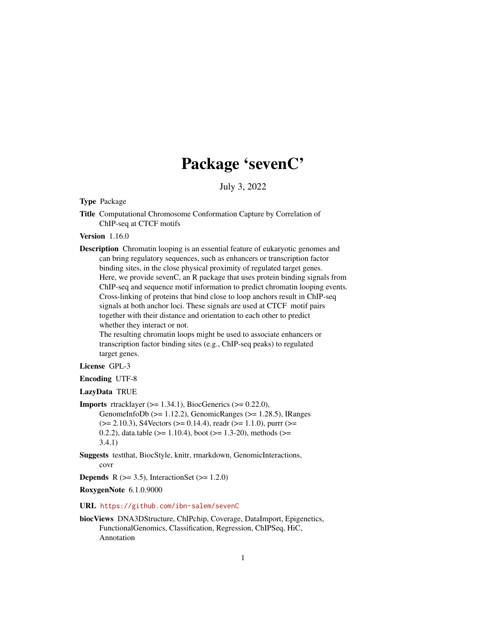# Package 'sevenC'

July 3, 2022

<span id="page-0-0"></span>Type Package

Title Computational Chromosome Conformation Capture by Correlation of ChIP-seq at CTCF motifs

Version 1.16.0

Description Chromatin looping is an essential feature of eukaryotic genomes and can bring regulatory sequences, such as enhancers or transcription factor binding sites, in the close physical proximity of regulated target genes. Here, we provide sevenC, an R package that uses protein binding signals from ChIP-seq and sequence motif information to predict chromatin looping events. Cross-linking of proteins that bind close to loop anchors result in ChIP-seq signals at both anchor loci. These signals are used at CTCF motif pairs together with their distance and orientation to each other to predict whether they interact or not.

The resulting chromatin loops might be used to associate enhancers or transcription factor binding sites (e.g., ChIP-seq peaks) to regulated target genes.

License GPL-3

Encoding UTF-8

LazyData TRUE

**Imports** rtracklayer  $(>= 1.34.1)$ , BiocGenerics  $(>= 0.22.0)$ , GenomeInfoDb ( $>= 1.12.2$ ), GenomicRanges ( $>= 1.28.5$ ), IRanges  $(>= 2.10.3)$ , S4Vectors  $(>= 0.14.4)$ , readr  $(>= 1.1.0)$ , purrr  $(>= 1.1.0)$ 0.2.2), data.table ( $>= 1.10.4$ ), boot ( $>= 1.3-20$ ), methods ( $>= 1.3-20$ 3.4.1)

Suggests testthat, BiocStyle, knitr, rmarkdown, GenomicInteractions, covr

**Depends** R  $(>= 3.5)$ , InteractionSet  $(>= 1.2.0)$ 

RoxygenNote 6.1.0.9000

URL <https://github.com/ibn-salem/sevenC>

biocViews DNA3DStructure, ChIPchip, Coverage, DataImport, Epigenetics, FunctionalGenomics, Classification, Regression, ChIPSeq, HiC, Annotation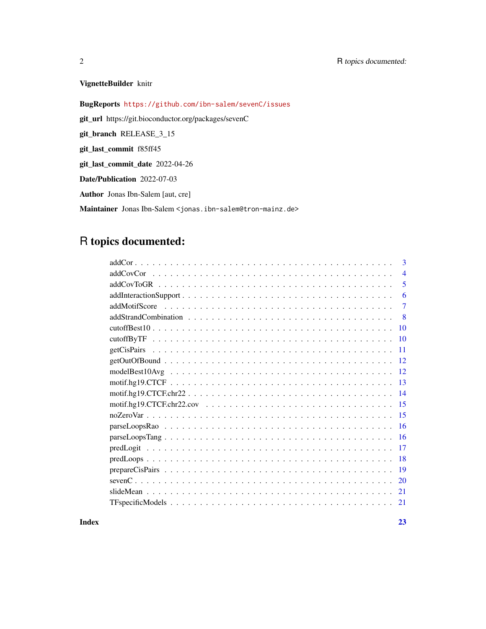# VignetteBuilder knitr

BugReports <https://github.com/ibn-salem/sevenC/issues>

git\_url https://git.bioconductor.org/packages/sevenC

git\_branch RELEASE\_3\_15

git\_last\_commit f85ff45

git\_last\_commit\_date 2022-04-26

Date/Publication 2022-07-03

Author Jonas Ibn-Salem [aut, cre]

Maintainer Jonas Ibn-Salem <jonas.ibn-salem@tron-mainz.de>

# R topics documented:

|            | 3              |
|------------|----------------|
|            | $\overline{4}$ |
|            | 5              |
|            | 6              |
|            | 7              |
|            | -8             |
|            | 10             |
| cutoffByTF | 10             |
|            | 11             |
|            | 12             |
|            | 12             |
|            | 13             |
|            | 14             |
|            | 15             |
|            | 15             |
|            | 16             |
|            | 16             |
|            | 17             |
|            | 18             |
|            | 19             |
|            | 20             |
|            | 21             |
|            | 21             |
|            |                |

**Index** [23](#page-22-0)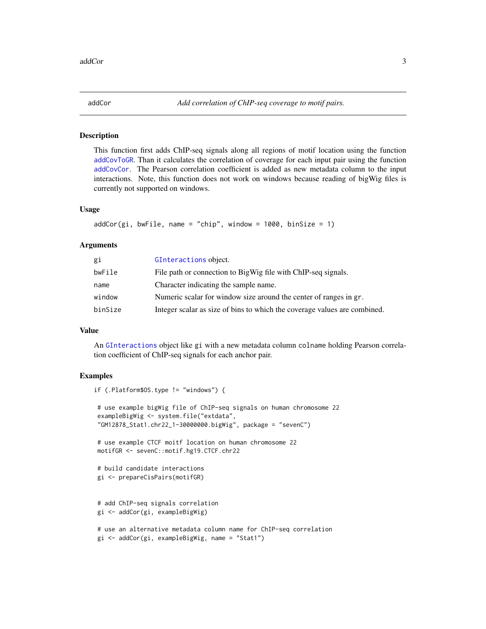<span id="page-2-1"></span><span id="page-2-0"></span>

# Description

This function first adds ChIP-seq signals along all regions of motif location using the function [addCovToGR](#page-4-1). Than it calculates the correlation of coverage for each input pair using the function [addCovCor](#page-3-1). The Pearson correlation coefficient is added as new metadata column to the input interactions. Note, this function does not work on windows because reading of bigWig files is currently not supported on windows.

#### Usage

```
addCor(gi, bwFile, name = "chip", window = 1000, binsize = 1)
```
#### Arguments

| gi      | GInteractions object.                                                     |
|---------|---------------------------------------------------------------------------|
| bwFile  | File path or connection to BigWig file with ChIP-seq signals.             |
| name    | Character indicating the sample name.                                     |
| window  | Numeric scalar for window size around the center of ranges in gr.         |
| binSize | Integer scalar as size of bins to which the coverage values are combined. |

# Value

An [GInteractions](#page-0-0) object like gi with a new metadata column colname holding Pearson correlation coefficient of ChIP-seq signals for each anchor pair.

# Examples

if (.Platform\$OS.type != "windows") {

```
# use example bigWig file of ChIP-seq signals on human chromosome 22
exampleBigWig <- system.file("extdata",
"GM12878_Stat1.chr22_1-30000000.bigWig", package = "sevenC")
```

```
# use example CTCF moitf location on human chromosome 22
motifGR <- sevenC::motif.hg19.CTCF.chr22
```

```
# build candidate interactions
gi <- prepareCisPairs(motifGR)
```

```
# add ChIP-seq signals correlation
gi <- addCor(gi, exampleBigWig)
```

```
# use an alternative metadata column name for ChIP-seq correlation
gi <- addCor(gi, exampleBigWig, name = "Stat1")
```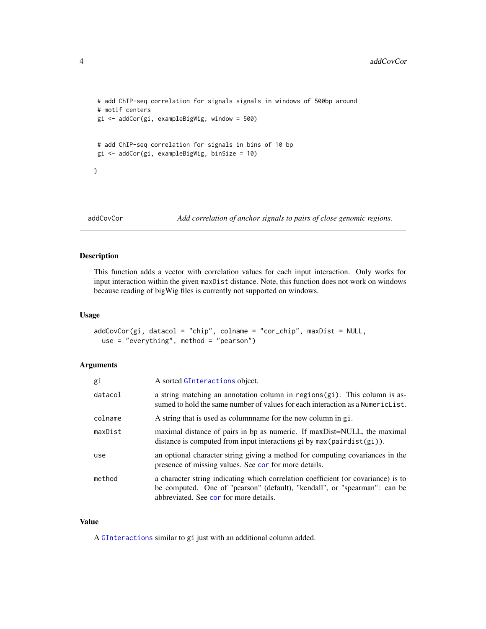```
# add ChIP-seq correlation for signals signals in windows of 500bp around
# motif centers
gi <- addCor(gi, exampleBigWig, window = 500)
# add ChIP-seq correlation for signals in bins of 10 bp
gi <- addCor(gi, exampleBigWig, binSize = 10)
}
```
<span id="page-3-1"></span>addCovCor *Add correlation of anchor signals to pairs of close genomic regions.*

# Description

This function adds a vector with correlation values for each input interaction. Only works for input interaction within the given maxDist distance. Note, this function does not work on windows because reading of bigWig files is currently not supported on windows.

# Usage

```
addCovCor(gi, datacol = "chip", colname = "cor_chip", maxDist = NULL,
 use = "everything", method = "pearson")
```
# Arguments

| gi      | A sorted GInteractions object.                                                                                                                                                                           |
|---------|----------------------------------------------------------------------------------------------------------------------------------------------------------------------------------------------------------|
| datacol | a string matching an annotation column in regions(gi). This column is as-<br>sumed to hold the same number of values for each interaction as a Numeric List.                                             |
| colname | A string that is used as columname for the new column in gi.                                                                                                                                             |
| maxDist | maximal distance of pairs in bp as numeric. If maxDist=NULL, the maximal<br>distance is computed from input interactions gi by $max(pairdist(gi))$ .                                                     |
| use     | an optional character string giving a method for computing covariances in the<br>presence of missing values. See cor for more details.                                                                   |
| method  | a character string indicating which correlation coefficient (or covariance) is to<br>be computed. One of "pearson" (default), "kendall", or "spearman": can be<br>abbreviated. See cor for more details. |

#### Value

A [GInteractions](#page-0-0) similar to gi just with an additional column added.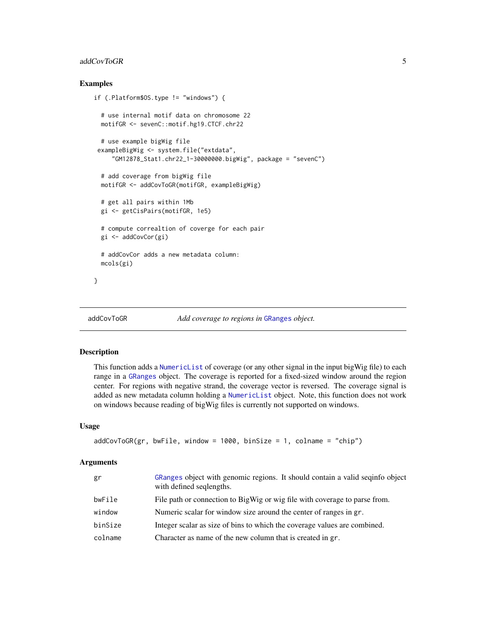# <span id="page-4-0"></span>addCovToGR 5

# Examples

```
if (.Platform$OS.type != "windows") {
 # use internal motif data on chromosome 22
 motifGR <- sevenC::motif.hg19.CTCF.chr22
 # use example bigWig file
 exampleBigWig <- system.file("extdata",
     "GM12878_Stat1.chr22_1-30000000.bigWig", package = "sevenC")
 # add coverage from bigWig file
 motifGR <- addCovToGR(motifGR, exampleBigWig)
 # get all pairs within 1Mb
 gi <- getCisPairs(motifGR, 1e5)
 # compute correaltion of coverge for each pair
 gi <- addCovCor(gi)
 # addCovCor adds a new metadata column:
 mcols(gi)
}
```

```
addCovToGR Add coverage to regions in GRanges object.
```
# Description

This function adds a [NumericList](#page-0-0) of coverage (or any other signal in the input bigWig file) to each range in a [GRanges](#page-0-0) object. The coverage is reported for a fixed-sized window around the region center. For regions with negative strand, the coverage vector is reversed. The coverage signal is added as new metadata column holding a [NumericList](#page-0-0) object. Note, this function does not work on windows because reading of bigWig files is currently not supported on windows.

#### Usage

```
addCovToGR(gr, bwFile, window = 1000, binSize = 1, colname = "chip")
```
#### Arguments

| gr      | GRanges object with genomic regions. It should contain a valid seqinfo object<br>with defined seqlengths. |
|---------|-----------------------------------------------------------------------------------------------------------|
| bwFile  | File path or connection to BigWig or wig file with coverage to parse from.                                |
| window  | Numeric scalar for window size around the center of ranges in gr.                                         |
| binSize | Integer scalar as size of bins to which the coverage values are combined.                                 |
| colname | Character as name of the new column that is created in gr.                                                |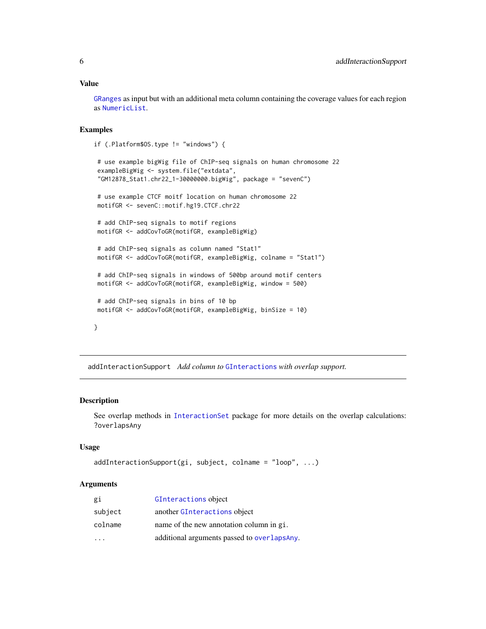# <span id="page-5-0"></span>Value

[GRanges](#page-0-0) as input but with an additional meta column containing the coverage values for each region as [NumericList](#page-0-0).

# Examples

```
if (.Platform$OS.type != "windows") {
```

```
# use example bigWig file of ChIP-seq signals on human chromosome 22
exampleBigWig <- system.file("extdata",
"GM12878_Stat1.chr22_1-30000000.bigWig", package = "sevenC")
# use example CTCF moitf location on human chromosome 22
motifGR <- sevenC::motif.hg19.CTCF.chr22
# add ChIP-seq signals to motif regions
motifGR <- addCovToGR(motifGR, exampleBigWig)
# add ChIP-seq signals as column named "Stat1"
motifGR <- addCovToGR(motifGR, exampleBigWig, colname = "Stat1")
# add ChIP-seq signals in windows of 500bp around motif centers
motifGR <- addCovToGR(motifGR, exampleBigWig, window = 500)
# add ChIP-seq signals in bins of 10 bp
motifGR <- addCovToGR(motifGR, exampleBigWig, binSize = 10)
```

```
}
```
addInteractionSupport *Add column to* [GInteractions](#page-0-0) *with overlap support.*

#### Description

See overlap methods in [InteractionSet](#page-0-0) package for more details on the overlap calculations: ?overlapsAny

# Usage

```
addInteractionSupport(gi, subject, colname = "loop", ...)
```
#### Arguments

| gi      | GInteractions object                         |
|---------|----------------------------------------------|
| subject | another GInteractions object                 |
| colname | name of the new annotation column in gi.     |
|         | additional arguments passed to overlaps Any. |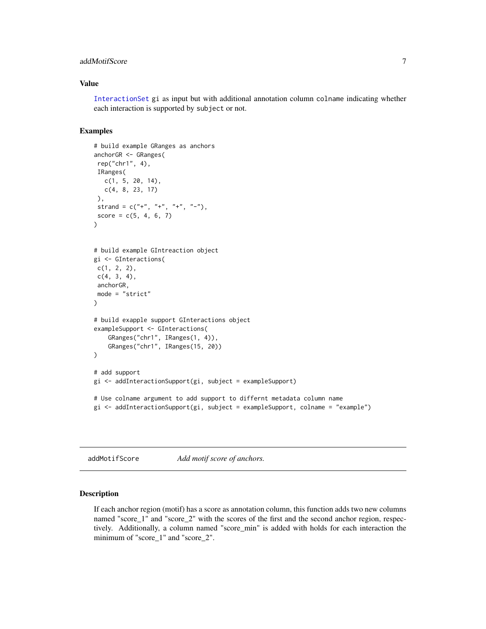# <span id="page-6-0"></span>addMotifScore 7

# Value

[InteractionSet](#page-0-0) gi as input but with additional annotation column colname indicating whether each interaction is supported by subject or not.

# Examples

```
# build example GRanges as anchors
anchorGR <- GRanges(
rep("chr1", 4),
IRanges(
  c(1, 5, 20, 14),
  c(4, 8, 23, 17)
),
 strand = c("''", "''", "''", "''-"),
score = c(5, 4, 6, 7))
# build example GIntreaction object
gi <- GInteractions(
c(1, 2, 2),
c(4, 3, 4),
anchorGR,
mode = "strict"
)
# build exapple support GInteractions object
exampleSupport <- GInteractions(
    GRanges("chr1", IRanges(1, 4)),
    GRanges("chr1", IRanges(15, 20))
\mathcal{L}# add support
gi <- addInteractionSupport(gi, subject = exampleSupport)
# Use colname argument to add support to differnt metadata column name
gi <- addInteractionSupport(gi, subject = exampleSupport, colname = "example")
```

```
addMotifScore Add motif score of anchors.
```
#### Description

If each anchor region (motif) has a score as annotation column, this function adds two new columns named "score\_1" and "score\_2" with the scores of the first and the second anchor region, respectively. Additionally, a column named "score\_min" is added with holds for each interaction the minimum of "score\_1" and "score\_2".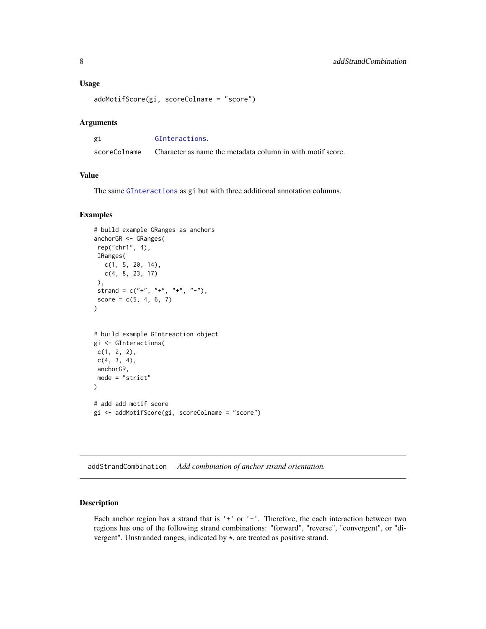#### <span id="page-7-0"></span>Usage

```
addMotifScore(gi, scoreColname = "score")
```
# Arguments

| gi           | GInteractions.                                             |
|--------------|------------------------------------------------------------|
| scoreColname | Character as name the metadata column in with motif score. |

# Value

The same [GInteractions](#page-0-0) as gi but with three additional annotation columns.

# Examples

```
# build example GRanges as anchors
anchorGR <- GRanges(
rep("chr1", 4),
IRanges(
  c(1, 5, 20, 14),
  c(4, 8, 23, 17)
),
 strand = c("+", "+", "+", "--score = c(5, 4, 6, 7))
# build example GIntreaction object
gi <- GInteractions(
c(1, 2, 2),
c(4, 3, 4),
anchorGR,
mode = "strict"
)
# add add motif score
gi <- addMotifScore(gi, scoreColname = "score")
```
addStrandCombination *Add combination of anchor strand orientation.*

# Description

Each anchor region has a strand that is '+' or '-'. Therefore, the each interaction between two regions has one of the following strand combinations: "forward", "reverse", "convergent", or "divergent". Unstranded ranges, indicated by \*, are treated as positive strand.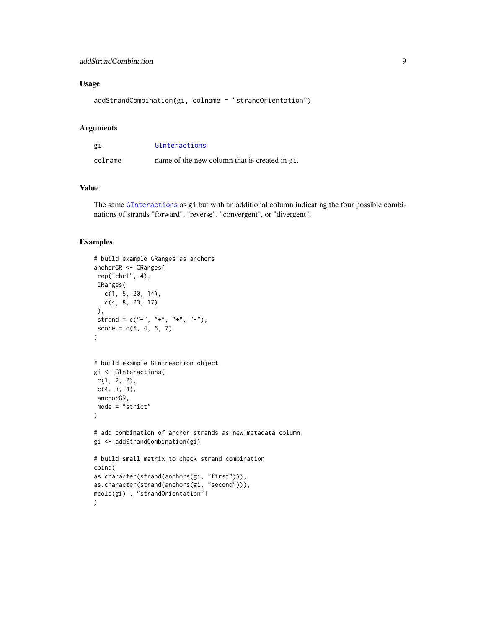# <span id="page-8-0"></span>addStrandCombination 9

# Usage

```
addStrandCombination(gi, colname = "strandOrientation")
```
# Arguments

| gi      | GInteractions                                 |
|---------|-----------------------------------------------|
| colname | name of the new column that is created in gi. |

# Value

The same [GInteractions](#page-0-0) as gi but with an additional column indicating the four possible combinations of strands "forward", "reverse", "convergent", or "divergent".

# Examples

```
# build example GRanges as anchors
anchorGR <- GRanges(
rep("chr1", 4),
 IRanges(
  c(1, 5, 20, 14),
  c(4, 8, 23, 17)
 ),
 strand = c("+", "+", "+", "-"),
 score = c(5, 4, 6, 7))
# build example GIntreaction object
gi <- GInteractions(
 c(1, 2, 2),
 c(4, 3, 4),
 anchorGR,
mode = "strict"
\mathcal{L}# add combination of anchor strands as new metadata column
gi <- addStrandCombination(gi)
# build small matrix to check strand combination
cbind(
as.character(strand(anchors(gi, "first"))),
as.character(strand(anchors(gi, "second"))),
mcols(gi)[, "strandOrientation"]
\mathcal{L}
```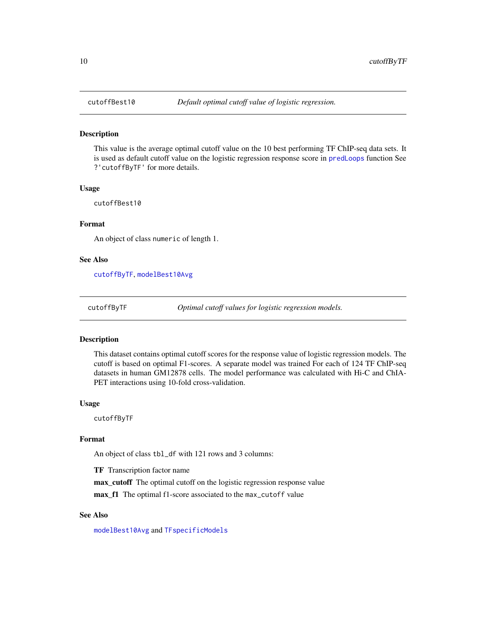<span id="page-9-2"></span><span id="page-9-0"></span>

#### Description

This value is the average optimal cutoff value on the 10 best performing TF ChIP-seq data sets. It is used as default cutoff value on the logistic regression response score in [predLoops](#page-17-1) function See ?'cutoffByTF' for more details.

#### Usage

cutoffBest10

# Format

An object of class numeric of length 1.

#### See Also

[cutoffByTF](#page-9-1), [modelBest10Avg](#page-11-1)

<span id="page-9-1"></span>cutoffByTF *Optimal cutoff values for logistic regression models.*

#### Description

This dataset contains optimal cutoff scores for the response value of logistic regression models. The cutoff is based on optimal F1-scores. A separate model was trained For each of 124 TF ChIP-seq datasets in human GM12878 cells. The model performance was calculated with Hi-C and ChIA-PET interactions using 10-fold cross-validation.

# Usage

cutoffByTF

# Format

An object of class tbl\_df with 121 rows and 3 columns:

TF Transcription factor name

max\_cutoff The optimal cutoff on the logistic regression response value

max\_f1 The optimal f1-score associated to the max\_cutoff value

# See Also

[modelBest10Avg](#page-11-1) and [TFspecificModels](#page-20-1)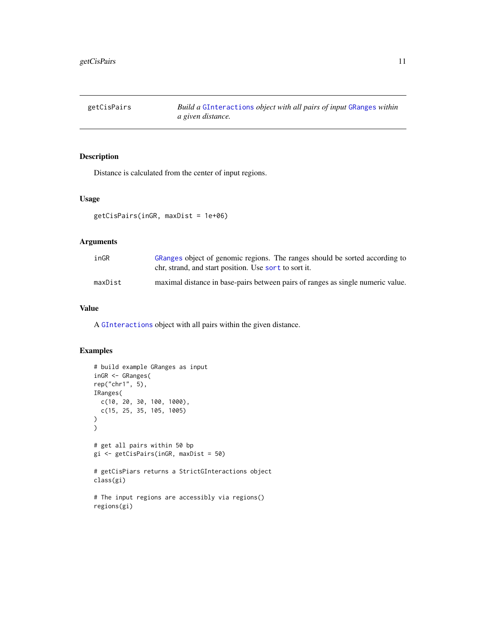<span id="page-10-0"></span>getCisPairs *Build a* [GInteractions](#page-0-0) *object with all pairs of input* [GRanges](#page-0-0) *within a given distance.*

# Description

Distance is calculated from the center of input regions.

#### Usage

```
getCisPairs(inGR, maxDist = 1e+06)
```
# Arguments

| inGR    | GRanges object of genomic regions. The ranges should be sorted according to<br>chr, strand, and start position. Use sort to sort it. |
|---------|--------------------------------------------------------------------------------------------------------------------------------------|
| maxDist | maximal distance in base-pairs between pairs of ranges as single numeric value.                                                      |

# Value

A [GInteractions](#page-0-0) object with all pairs within the given distance.

# Examples

```
# build example GRanges as input
inGR <- GRanges(
rep("chr1", 5),
IRanges(
  c(10, 20, 30, 100, 1000),
  c(15, 25, 35, 105, 1005)
\overline{\phantom{a}}\mathcal{L}# get all pairs within 50 bp
gi <- getCisPairs(inGR, maxDist = 50)
# getCisPiars returns a StrictGInteractions object
class(gi)
# The input regions are accessibly via regions()
regions(gi)
```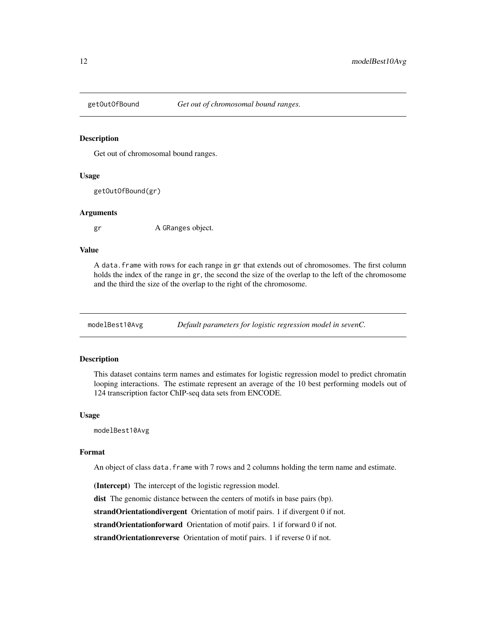<span id="page-11-0"></span>

# Description

Get out of chromosomal bound ranges.

#### Usage

getOutOfBound(gr)

#### Arguments

gr A GRanges object.

# Value

A data.frame with rows for each range in gr that extends out of chromosomes. The first column holds the index of the range in gr, the second the size of the overlap to the left of the chromosome and the third the size of the overlap to the right of the chromosome.

<span id="page-11-1"></span>modelBest10Avg *Default parameters for logistic regression model in sevenC.*

# Description

This dataset contains term names and estimates for logistic regression model to predict chromatin looping interactions. The estimate represent an average of the 10 best performing models out of 124 transcription factor ChIP-seq data sets from ENCODE.

#### Usage

modelBest10Avg

#### Format

An object of class data.frame with 7 rows and 2 columns holding the term name and estimate.

(Intercept) The intercept of the logistic regression model.

dist The genomic distance between the centers of motifs in base pairs (bp).

strandOrientationdivergent Orientation of motif pairs. 1 if divergent 0 if not.

strandOrientationforward Orientation of motif pairs. 1 if forward 0 if not.

strandOrientationreverse Orientation of motif pairs. 1 if reverse 0 if not.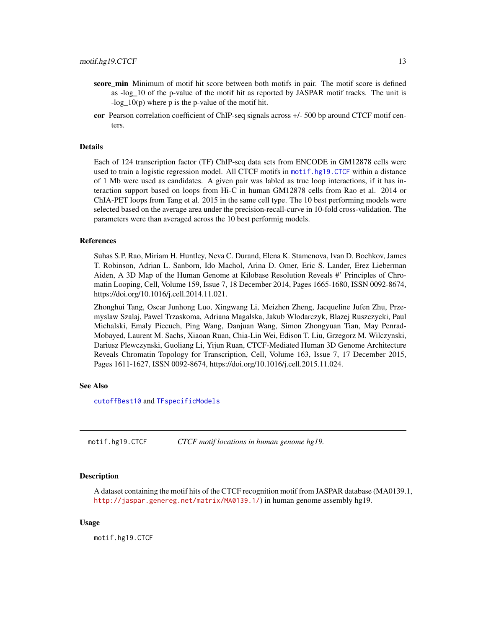- <span id="page-12-0"></span>score\_min Minimum of motif hit score between both motifs in pair. The motif score is defined as -log\_10 of the p-value of the motif hit as reported by JASPAR motif tracks. The unit is  $-log 10(p)$  where p is the p-value of the motif hit.
- cor Pearson correlation coefficient of ChIP-seq signals across +/- 500 bp around CTCF motif centers.

#### Details

Each of 124 transcription factor (TF) ChIP-seq data sets from ENCODE in GM12878 cells were used to train a logistic regression model. All CTCF motifs in [motif.hg19.CTCF](#page-12-1) within a distance of 1 Mb were used as candidates. A given pair was labled as true loop interactions, if it has interaction support based on loops from Hi-C in human GM12878 cells from Rao et al. 2014 or ChIA-PET loops from Tang et al. 2015 in the same cell type. The 10 best performing models were selected based on the average area under the precision-recall-curve in 10-fold cross-validation. The parameters were than averaged across the 10 best performig models.

# References

Suhas S.P. Rao, Miriam H. Huntley, Neva C. Durand, Elena K. Stamenova, Ivan D. Bochkov, James T. Robinson, Adrian L. Sanborn, Ido Machol, Arina D. Omer, Eric S. Lander, Erez Lieberman Aiden, A 3D Map of the Human Genome at Kilobase Resolution Reveals #' Principles of Chromatin Looping, Cell, Volume 159, Issue 7, 18 December 2014, Pages 1665-1680, ISSN 0092-8674, https://doi.org/10.1016/j.cell.2014.11.021.

Zhonghui Tang, Oscar Junhong Luo, Xingwang Li, Meizhen Zheng, Jacqueline Jufen Zhu, Przemyslaw Szalaj, Pawel Trzaskoma, Adriana Magalska, Jakub Wlodarczyk, Blazej Ruszczycki, Paul Michalski, Emaly Piecuch, Ping Wang, Danjuan Wang, Simon Zhongyuan Tian, May Penrad-Mobayed, Laurent M. Sachs, Xiaoan Ruan, Chia-Lin Wei, Edison T. Liu, Grzegorz M. Wilczynski, Dariusz Plewczynski, Guoliang Li, Yijun Ruan, CTCF-Mediated Human 3D Genome Architecture Reveals Chromatin Topology for Transcription, Cell, Volume 163, Issue 7, 17 December 2015, Pages 1611-1627, ISSN 0092-8674, https://doi.org/10.1016/j.cell.2015.11.024.

#### See Also

[cutoffBest10](#page-9-2) and [TFspecificModels](#page-20-1)

<span id="page-12-1"></span>motif.hg19.CTCF *CTCF motif locations in human genome hg19.*

#### **Description**

A dataset containing the motif hits of the CTCF recognition motif from JASPAR database (MA0139.1, <http://jaspar.genereg.net/matrix/MA0139.1/>) in human genome assembly hg19.

#### Usage

motif.hg19.CTCF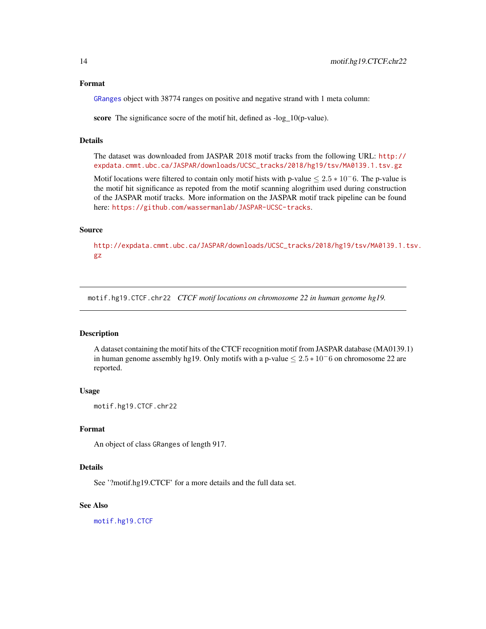# <span id="page-13-0"></span>Format

[GRanges](#page-0-0) object with 38774 ranges on positive and negative strand with 1 meta column:

score The significance socre of the motif hit, defined as -log\_10(p-value).

# Details

The dataset was downloaded from JASPAR 2018 motif tracks from the following URL: [http://](http://expdata.cmmt.ubc.ca/JASPAR/downloads/UCSC_tracks/2018/hg19/tsv/MA0139.1.tsv.gz) [expdata.cmmt.ubc.ca/JASPAR/downloads/UCSC\\_tracks/2018/hg19/tsv/MA0139.1.tsv.gz](http://expdata.cmmt.ubc.ca/JASPAR/downloads/UCSC_tracks/2018/hg19/tsv/MA0139.1.tsv.gz)

Motif locations were filtered to contain only motif hists with p-value  $\leq 2.5 * 10^- 6$ . The p-value is the motif hit significance as repoted from the motif scanning alogrithim used during construction of the JASPAR motif tracks. More information on the JASPAR motif track pipeline can be found here: <https://github.com/wassermanlab/JASPAR-UCSC-tracks>.

# Source

[http://expdata.cmmt.ubc.ca/JASPAR/downloads/UCSC\\_tracks/2018/hg19/tsv/MA0139.1.t](http://expdata.cmmt.ubc.ca/JASPAR/downloads/UCSC_tracks/2018/hg19/tsv/MA0139.1.tsv.gz)sv. [gz](http://expdata.cmmt.ubc.ca/JASPAR/downloads/UCSC_tracks/2018/hg19/tsv/MA0139.1.tsv.gz)

<span id="page-13-1"></span>motif.hg19.CTCF.chr22 *CTCF motif locations on chromosome 22 in human genome hg19.*

#### **Description**

A dataset containing the motif hits of the CTCF recognition motif from JASPAR database (MA0139.1) in human genome assembly hg19. Only motifs with a p-value  $\leq 2.5 * 10^-6$  on chromosome 22 are reported.

# Usage

motif.hg19.CTCF.chr22

#### Format

An object of class GRanges of length 917.

#### Details

See '?motif.hg19.CTCF' for a more details and the full data set.

# See Also

[motif.hg19.CTCF](#page-12-1)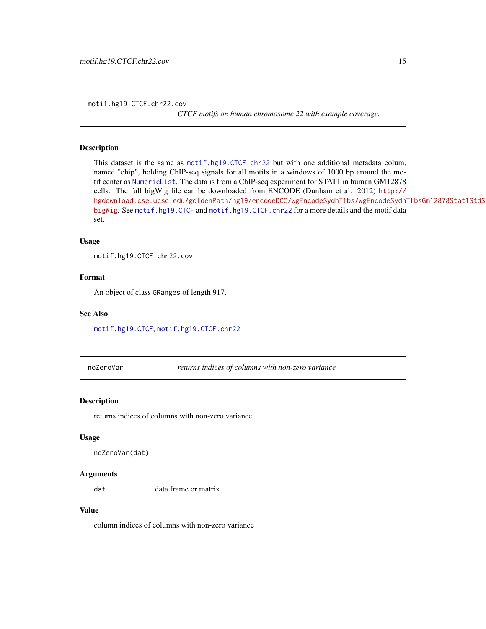*CTCF motifs on human chromosome 22 with example coverage.*

# <span id="page-14-0"></span>Description

This dataset is the same as [motif.hg19.CTCF.chr22](#page-13-1) but with one additional metadata colum, named "chip", holding ChIP-seq signals for all motifs in a windows of 1000 bp around the motif center as [NumericList](#page-0-0). The data is from a ChIP-seq experiment for STAT1 in human GM12878 cells. The full bigWig file can be downloaded from ENCODE (Dunham et al. 2012) [http://](http://hgdownload.cse.ucsc.edu/goldenPath/hg19/encodeDCC/wgEncodeSydhTfbs/wgEncodeSydhTfbsGm12878Stat1StdSig.bigWig) [hgdownload.cse.ucsc.edu/goldenPath/hg19/encodeDCC/wgEncodeSydhTfbs/wgEncodeSydhT](http://hgdownload.cse.ucsc.edu/goldenPath/hg19/encodeDCC/wgEncodeSydhTfbs/wgEncodeSydhTfbsGm12878Stat1StdSig.bigWig)fbsGm12878Stat1StdSig. [bigWig](http://hgdownload.cse.ucsc.edu/goldenPath/hg19/encodeDCC/wgEncodeSydhTfbs/wgEncodeSydhTfbsGm12878Stat1StdSig.bigWig). See [motif.hg19.CTCF](#page-12-1) and [motif.hg19.CTCF.chr22](#page-13-1) for a more details and the motif data set.

#### Usage

```
motif.hg19.CTCF.chr22.cov
```
# Format

An object of class GRanges of length 917.

# See Also

[motif.hg19.CTCF](#page-12-1), [motif.hg19.CTCF.chr22](#page-13-1)

noZeroVar *returns indices of columns with non-zero variance*

# Description

returns indices of columns with non-zero variance

#### Usage

```
noZeroVar(dat)
```
#### Arguments

dat data.frame or matrix

# Value

column indices of columns with non-zero variance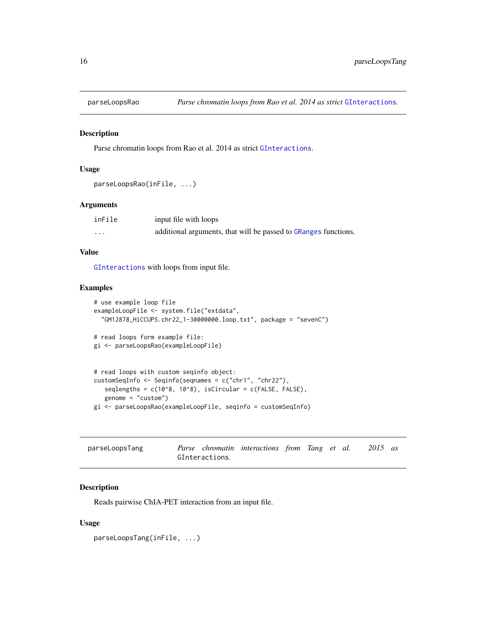<span id="page-15-0"></span>

#### Description

Parse chromatin loops from Rao et al. 2014 as strict [GInteractions](#page-0-0).

# Usage

```
parseLoopsRao(inFile, ...)
```
# Arguments

| inFile | input file with loops                                           |
|--------|-----------------------------------------------------------------|
| .      | additional arguments, that will be passed to GRanges functions. |

# Value

[GInteractions](#page-0-0) with loops from input file.

# Examples

```
# use example loop file
exampleLoopFile <- system.file("extdata",
  "GM12878_HiCCUPS.chr22_1-30000000.loop.txt", package = "sevenC")
# read loops form example file:
gi <- parseLoopsRao(exampleLoopFile)
# read loops with custom seqinfo object:
customSeqInfo <- Seqinfo(seqnames = c("chr1", "chr22"),
   seqlengths = c(10^8, 10^8), isCircular = c(FALSE, FALSE),
   genome = "custom")
```

```
gi <- parseLoopsRao(exampleLoopFile, seqinfo = customSeqInfo)
```

| parseLoopsTang |                |  | Parse chromatin interactions from Tang et al. |  |  |  |  | $2015$ as |  |
|----------------|----------------|--|-----------------------------------------------|--|--|--|--|-----------|--|
|                | GInteractions. |  |                                               |  |  |  |  |           |  |

# Description

Reads pairwise ChIA-PET interaction from an input file.

# Usage

parseLoopsTang(inFile, ...)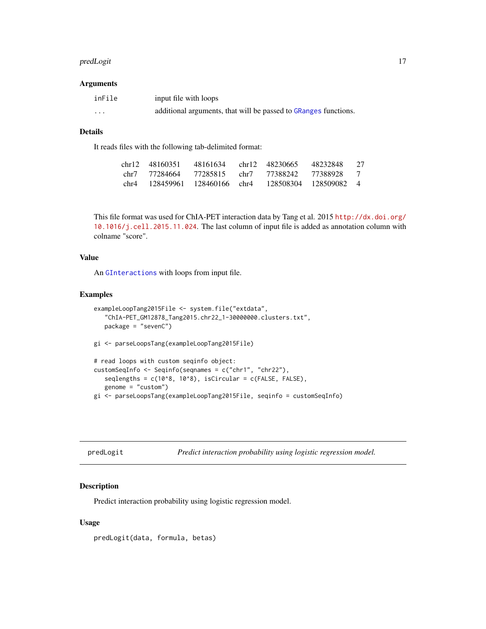#### <span id="page-16-0"></span>predLogit 17

#### Arguments

| inFile | input file with loops                                           |
|--------|-----------------------------------------------------------------|
| .      | additional arguments, that will be passed to GRanges functions. |

# Details

It reads files with the following tab-delimited format:

|      | chr12 48160351 | 48161634                 | chr12 48230665 | 48232848              | 27             |
|------|----------------|--------------------------|----------------|-----------------------|----------------|
|      | chr7 77284664  | 77285815 chr7            | 77388242       | 77388928              | $\overline{7}$ |
| chr4 |                | 128459961 128460166 chr4 |                | 128508304 128509082 4 |                |

This file format was used for ChIA-PET interaction data by Tang et al. 2015 [http://dx.doi.org/](http://dx.doi.org/10.1016/j.cell.2015.11.024) [10.1016/j.cell.2015.11.024](http://dx.doi.org/10.1016/j.cell.2015.11.024). The last column of input file is added as annotation column with colname "score".

# Value

An [GInteractions](#page-0-0) with loops from input file.

# Examples

```
exampleLoopTang2015File <- system.file("extdata",
   "ChIA-PET_GM12878_Tang2015.chr22_1-30000000.clusters.txt",
   package = "sevenC")
gi <- parseLoopsTang(exampleLoopTang2015File)
# read loops with custom seqinfo object:
customSeqInfo <- Seqinfo(seqnames = c("chr1", "chr22"),
   seqlengths = c(10^8, 10^8), isCircular = c(FALSE, FALSE),
   genome = "custom")
gi <- parseLoopsTang(exampleLoopTang2015File, seqinfo = customSeqInfo)
```

| predLogit |
|-----------|
|           |
|           |
|           |

*Predict interaction probability using logistic regression model.* 

# Description

Predict interaction probability using logistic regression model.

# Usage

predLogit(data, formula, betas)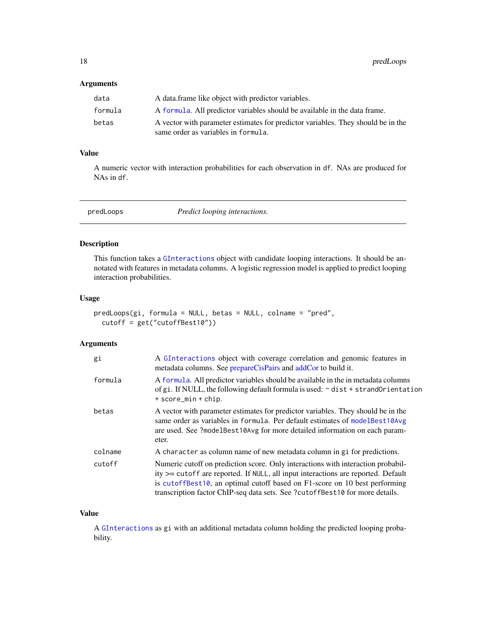# <span id="page-17-0"></span>Arguments

| data    | A data frame like object with predictor variables.                                                                      |
|---------|-------------------------------------------------------------------------------------------------------------------------|
| formula | A formula. All predictor variables should be available in the data frame.                                               |
| betas   | A vector with parameter estimates for predictor variables. They should be in the<br>same order as variables in formula. |

# Value

A numeric vector with interaction probabilities for each observation in df. NAs are produced for NAs in df.

<span id="page-17-1"></span>predLoops *Predict looping interactions.*

# Description

This function takes a [GInteractions](#page-0-0) object with candidate looping interactions. It should be annotated with features in metadata columns. A logistic regression model is applied to predict looping interaction probabilities.

# Usage

```
predLoops(gi, formula = NULL, betas = NULL, colname = "pred",
 cutoff = get("cutoffBest10"))
```
# Arguments

| gi      | A GInteractions object with coverage correlation and genomic features in<br>metadata columns. See prepareCisPairs and addCor to build it.                                                                                                                                                                                              |  |
|---------|----------------------------------------------------------------------------------------------------------------------------------------------------------------------------------------------------------------------------------------------------------------------------------------------------------------------------------------|--|
| formula | A formula. All predictor variables should be available in the in metadata columns<br>of gi. If NULL, the following default formula is used: $\sim$ dist + strandOrientation<br>+ score_min + chip.                                                                                                                                     |  |
| betas   | A vector with parameter estimates for predictor variables. They should be in the<br>same order as variables in formula. Per default estimates of modelBest10Avg<br>are used. See ?modelBest10Avg for more detailed information on each param-<br>eter.                                                                                 |  |
| colname | A character as column name of new metadata column in gi for predictions.                                                                                                                                                                                                                                                               |  |
| cutoff  | Numeric cutoff on prediction score. Only interactions with interaction probabil-<br>$ity \ge$ cutoff are reported. If NULL, all input interactions are reported. Default<br>is cutoffBest10, an optimal cutoff based on F1-score on 10 best performing<br>transcription factor ChIP-seq data sets. See ?cutoffBest10 for more details. |  |

# Value

A [GInteractions](#page-0-0) as gi with an additional metadata column holding the predicted looping probability.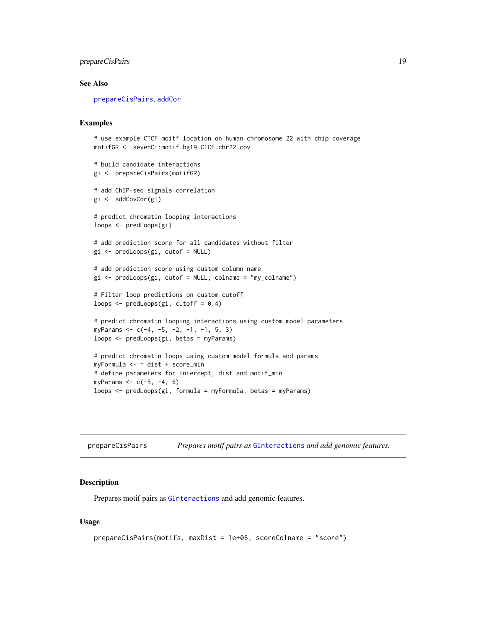# <span id="page-18-0"></span>prepareCisPairs 19

# See Also

[prepareCisPairs](#page-18-1), [addCor](#page-2-1)

# Examples

```
# use example CTCF moitf location on human chromosome 22 with chip coverage
motifGR <- sevenC::motif.hg19.CTCF.chr22.cov
# build candidate interactions
gi <- prepareCisPairs(motifGR)
# add ChIP-seq signals correlation
gi <- addCovCor(gi)
# predict chromatin looping interactions
loops <- predLoops(gi)
# add prediction score for all candidates without filter
gi <- predLoops(gi, cutof = NULL)
# add prediction score using custom column name
gi <- predLoops(gi, cutof = NULL, colname = "my_colname")
# Filter loop predictions on custom cutoff
loops \leq predLoops(gi, cutoff = 0.4)
# predict chromatin looping interactions using custom model parameters
myParams <- c(-4, -5, -2, -1, -1, 5, 3)
loops <- predLoops(gi, betas = myParams)
# predict chromatin loops using custom model formula and params
myFormula <- ~ dist + score_min
# define parameters for intercept, dist and motif_min
myParams <- c(-5, -4, 6)
```
loops <- predLoops(gi, formula = myFormula, betas = myParams)

<span id="page-18-1"></span>prepareCisPairs *Prepares motif pairs as* [GInteractions](#page-0-0) *and add genomic features.*

#### Description

Prepares motif pairs as [GInteractions](#page-0-0) and add genomic features.

# Usage

```
prepareCisPairs(motifs, maxDist = 1e+06, scoreColname = "score")
```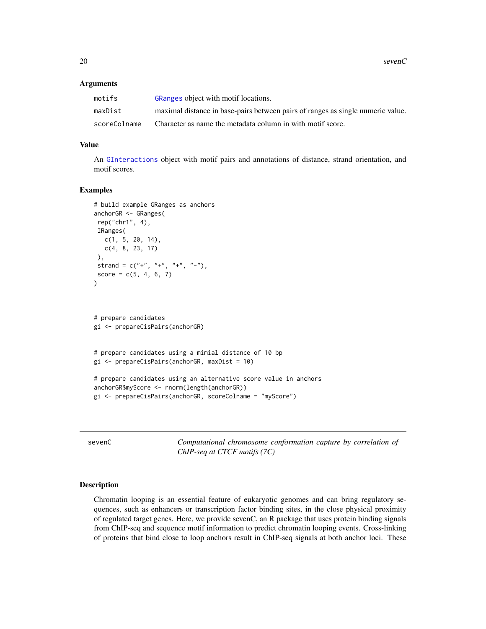20 sevenC

# Arguments

| motifs       | GRanges object with motif locations.                                            |
|--------------|---------------------------------------------------------------------------------|
| maxDist      | maximal distance in base-pairs between pairs of ranges as single numeric value. |
| scoreColname | Character as name the metadata column in with motif score.                      |

# Value

An [GInteractions](#page-0-0) object with motif pairs and annotations of distance, strand orientation, and motif scores.

#### Examples

```
# build example GRanges as anchors
anchorGR <- GRanges(
rep("chr1", 4),
IRanges(
  c(1, 5, 20, 14),
  c(4, 8, 23, 17)
),
strand = c("+", "+", "+", "-"),
score = c(5, 4, 6, 7)\mathcal{L}# prepare candidates
gi <- prepareCisPairs(anchorGR)
# prepare candidates using a mimial distance of 10 bp
gi <- prepareCisPairs(anchorGR, maxDist = 10)
# prepare candidates using an alternative score value in anchors
anchorGR$myScore <- rnorm(length(anchorGR))
gi <- prepareCisPairs(anchorGR, scoreColname = "myScore")
```
sevenC *Computational chromosome conformation capture by correlation of ChIP-seq at CTCF motifs (7C)*

# Description

Chromatin looping is an essential feature of eukaryotic genomes and can bring regulatory sequences, such as enhancers or transcription factor binding sites, in the close physical proximity of regulated target genes. Here, we provide sevenC, an R package that uses protein binding signals from ChIP-seq and sequence motif information to predict chromatin looping events. Cross-linking of proteins that bind close to loop anchors result in ChIP-seq signals at both anchor loci. These

<span id="page-19-0"></span>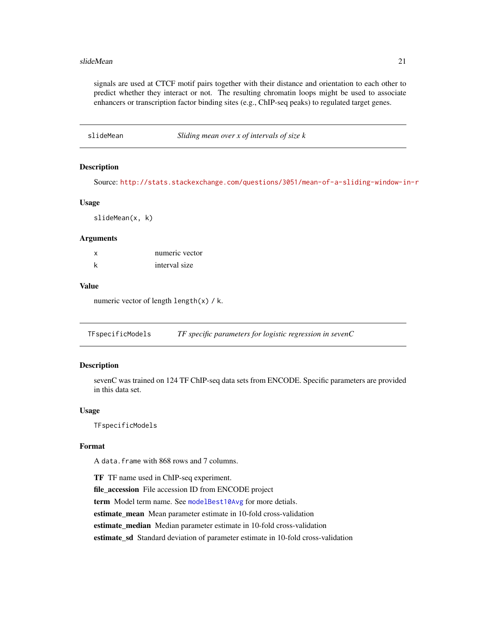#### <span id="page-20-0"></span>slideMean 21

signals are used at CTCF motif pairs together with their distance and orientation to each other to predict whether they interact or not. The resulting chromatin loops might be used to associate enhancers or transcription factor binding sites (e.g., ChIP-seq peaks) to regulated target genes.

slideMean *Sliding mean over x of intervals of size k*

#### **Description**

Source: <http://stats.stackexchange.com/questions/3051/mean-of-a-sliding-window-in-r>

#### Usage

slideMean(x, k)

# Arguments

| X | numeric vector |
|---|----------------|
| k | interval size  |

# Value

numeric vector of length length(x) / k.

<span id="page-20-1"></span>TFspecificModels *TF specific parameters for logistic regression in sevenC*

# Description

sevenC was trained on 124 TF ChIP-seq data sets from ENCODE. Specific parameters are provided in this data set.

#### Usage

TFspecificModels

#### Format

A data.frame with 868 rows and 7 columns.

TF TF name used in ChIP-seq experiment. file\_accession File accession ID from ENCODE project term Model term name. See [modelBest10Avg](#page-11-1) for more detials. estimate\_mean Mean parameter estimate in 10-fold cross-validation estimate median Median parameter estimate in 10-fold cross-validation estimate\_sd Standard deviation of parameter estimate in 10-fold cross-validation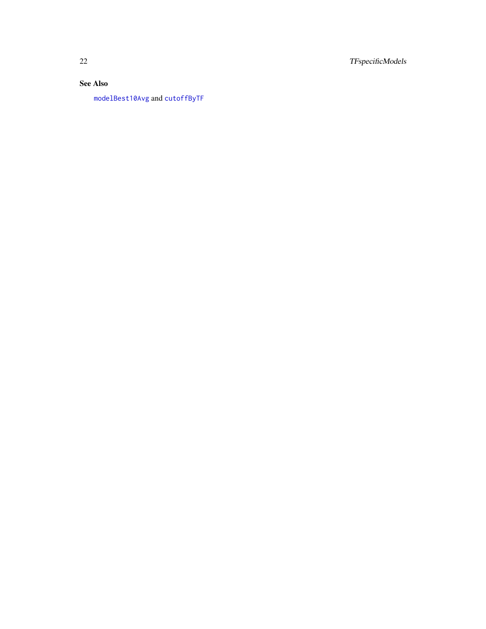<span id="page-21-0"></span>22 TFspecificModels

# See Also

[modelBest10Avg](#page-11-1) and [cutoffByTF](#page-9-1)